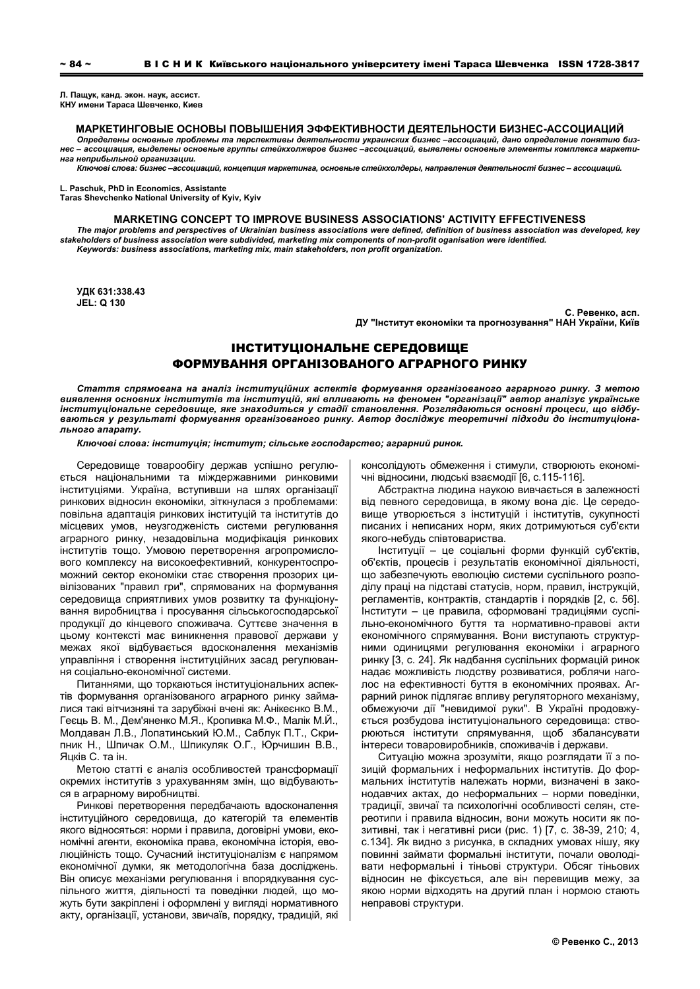$\Pi$ . Пашук, канд. экон, наук, ассист. КНУ имени Тараса Шевченко, Киев

## **ɆȺɊɄȿɌɂɇȽɈȼɕȿ ɈɋɇɈȼɕ ɉɈȼɕɒȿɇɂə ɗɎɎȿɄɌɂȼɇɈɋɌɂ ȾȿəɌȿɅɖɇɈɋɌɂ ȻɂɁɇȿɋ-ȺɋɋɈɐɂȺɐɂɃ**

Определены основные проблемы та перспективы деятельности украинских бизнес -ассоциаций, дано определение понятию бизнес - ассоциация, выделены основные группы стейкхолжеров бизнес -ассоциаций, выявлены основные элементы комплекса маркети**нга неприбыльной организации.** 

Ключові слова: бизнес -ассоциаций, концепция маркетинга, основные стейкхолдеры, направления деятельності бизнес - ассоциаций.

**L. Paschuk, PhD in Economics, Assistante Taras Shevchenko National University of Kyiv, Kyiv** 

# **MARKETING CONCEPT TO IMPROVE BUSINESS ASSOCIATIONS' ACTIVITY EFFECTIVENESS**

*The major problems and perspectives of Ukrainian business associations were defined, definition of business association was developed, key stakeholders of business association were subdivided, marketing mix components of non-profit oganisation were identified. Keywords: business associations, marketing mix, main stakeholders, non profit organization.* 

**ɍȾɄ 631:338.43 JEL: Q 130** 

**С. Ревенко. асп. Ⱦɍ "ȱɧɫɬɢɬɭɬ ɟɤɨɧɨɦɿɤɢ ɬɚ ɩɪɨɝɧɨɡɭɜɚɧɧɹ" ɇȺɇ ɍɤɪɚʀɧɢ, Ʉɢʀɜ**

# НАСТИТУЦІОНАЛЬНЕ СЕРЕДОВИШЕ ФОРМУВАННЯ ОРГАНІЗОВАНОГО АГРАРНОГО РИНКУ

*ɋɬɚɬɬɹ ɫɩɪɹɦɨɜɚɧɚ ɧɚ ɚɧɚɥɿɡ ɿɧɫɬɢɬɭɰɿɣɧɢɯ ɚɫɩɟɤɬɿɜ ɮɨɪɦɭɜɚɧɧɹ ɨɪɝɚɧɿɡɨɜɚɧɨɝɨ ɚɝɪɚɪɧɨɝɨ ɪɢɧɤɭ. Ɂ ɦɟɬɨɸ ɜɢɹɜɥɟɧɧɹ ɨɫɧɨɜɧɢɯ ɿɧɫɬɢɬɭɬɿɜ ɬɚ ɿɧɫɬɢɬɭɰɿɣ, ɹɤɿ ɜɩɥɢɜɚɸɬɶ ɧɚ ɮɟɧɨɦɟɧ "ɨɪɝɚɧɿɡɚɰɿʀ" ɚɜɬɨɪ ɚɧɚɥɿɡɭɽ ɭɤɪɚʀɧɫɶɤɟ*  $i$ нституціональне середовище, яке знаходиться у стадії становлення. Розглядаються основні проце́си, що відбу*ɜɚɸɬɶɫɹ ɭ ɪɟɡɭɥɶɬɚɬɿ ɮɨɪɦɭɜɚɧɧɹ ɨɪɝɚɧɿɡɨɜɚɧɨɝɨ ɪɢɧɤɭ. Ⱥɜɬɨɪ ɞɨɫɥɿɞɠɭɽ ɬɟɨɪɟɬɢɱɧɿ ɩɿɞɯɨɞɢ ɞɨ ɿɧɫɬɢɬɭɰɿɨɧɚ*льного апарату.

Ключові слова: інституція; інститут; сільське господарство; аграрний ринок.

Середовище товарообігу держав успішно регулюється національними та міждержавними ринковими інституціями. Україна, вступивши на шлях організації ринкових відносин економіки, зіткнулася з проблемами: повільна адаптація ринкових інституцій та інститутів до місцевих умов, неузгодженість системи регулювання аграрного ринку, незадовільна модифікація ринкових інститутів тощо. Умовою перетворення агропромислового комплексу на високоефективний, конкурентоспроможний сектор економіки стає створення прозорих цивілізованих "правил гри", спрямованих на формування середовища сприятливих умов розвитку та функціонування виробництва і просування сільськогосподарської продукції до кінцевого споживача. Суттєве значення в цьому контексті має виникнення правової держави у межах якої відбувається вдосконалення механізмів управління і створення інституційних засад регулювання соціально-економічної системи.

Питаннями, що торкаються інституціональних аспектів формування організованого аграрного ринку займалися такі вітчизняні та зарубіжні вчені як: Анікеєнко В.М., Геєць В. М., Дем'яненко М.Я., Кропивка М.Ф., Малік М.Й., Молдаван Л.В., Лопатинський Ю.М., Саблук П.Т., Скрипник Н., Шпичак О.М., Шпикуляк О.Г., Юрчишин В.В., Яцків С. та ін.

Метою статті є аналіз особливостей трансформації окремих інститутів з урахуванням змін, що відбуваються в аграрному виробництві.

Ринкові перетворення передбачають вдосконалення інституційного середовища, до категорій та елементів якого відносяться: норми і правила, договірні умови, економічні агенти, економіка права, економічна історія, еволюційність тощо. Сучасний інституціоналізм є напрямом економічної думки, як методологічна база досліджень. Він описує механізми регулювання і впорядкування суспільного життя, діяльності та поведінки людей, що можуть бути закріплені і оформлені у вигляді нормативного акту, організації, установи, звичаїв, порядку, традицій, які

консолідують обмеження і стимули, створюють економічні відносини, людські взаємодії [6, с.115-116].

Абстрактна людина наукою вивчається в залежності від певного середовища, в якому вона діє. Це середовище утворюється з інституцій і інститутів, сукупності писаних і неписаних норм, яких дотримуються суб'єкти якого-небуль співтовариства.

Інституції – це соціальні форми функцій суб'єктів, об'єктів, процесів і результатів економічної діяльності, що забезпечують еволюцію системи суспільного розподілу праці на підставі статусів, норм, правил, інструкцій, регламентів, контрактів, стандартів і порядків [2, с. 56]. Інститути – це правила, сформовані традиціями суспільно-економічного буття та нормативно-правові акти економічного спрямування. Вони виступають структурними одиницями регулювання економіки і аграрного ринку [3, с. 24]. Як надбання суспільних формацій ринок надає можливість людству розвиватися, роблячи наголос на ефективності буття в економічних проявах. Аграрний ринок підлягає впливу регуляторного механізму, обмежуючи дії "невидимої руки". В Україні продовжується розбудова інституціонального середовища: створюються інститути спрямування, щоб збалансувати інтереси товаровиробників, споживачів і держави.

Ситуацію можна зрозуміти, якщо розглядати її з позицій формальних і неформальних інститутів. До формальних інститутів належать норми, визначені в законодавчих актах, до неформальних – норми поведінки, традиції, звичаї та психологічні особливості селян, стереотипи і правила відносин, вони можуть носити як позитивні, так і негативні риси (рис. 1) [7, с. 38-39, 210; 4, с.134]. Як видно з рисунка, в складних умовах нішу, яку повинні займати формальні інститути, почали оволодівати неформальні і тіньові структури. Обсяг тіньових відносин не фіксується, але він перевищив межу, за якою норми відходять на другий план і нормою стають неправові структури.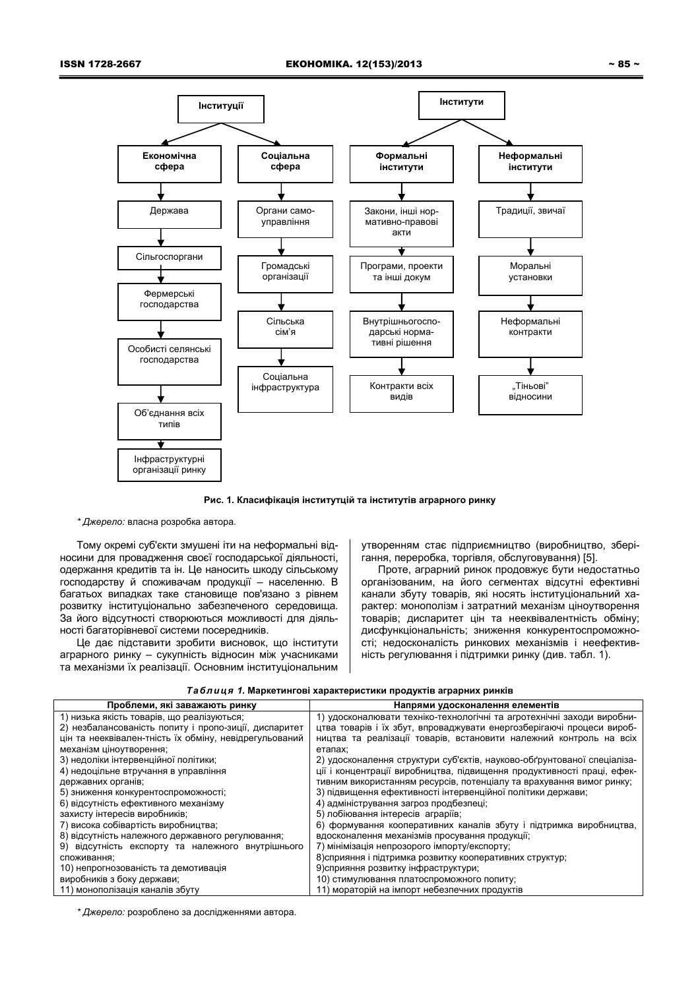

Рис. 1. Класифікація інститутцій та інститутів аграрного ринку

**\*** Джерело: власна розробка автора.

Тому окремі суб'єкти змушені іти на неформальні відносини для провадження своєї господарської діяльності, одержання кредитів та ін. Це наносить шкоду сільському господарству й споживачам продукції – населенню. В багатьох випадках таке становище пов'язано з рівнем розвитку інституціонально забезпеченого середовища. За його відсутності створюються можливості для діяльності багаторівневої системи посередників.

Це дає підставити зробити висновок, що інститути аграрного ринку – сукупність відносин між учасниками та механізми їх реалізації. Основним інституціональним утворенням стає підприємництво (виробництво, зберігання, переробка, торгівля, обслуговування) [5].

Проте, аграрний ринок продовжує бути недостатньо організованим, на його сегментах відсутні ефективні канали збуту товарів, які носять інституціональний характер: монополізм і затратний механізм ціноутворення товарів; диспаритет цін та нееквівалентність обміну; дисфункціональність; зниження конкурентоспроможності; недосконалість ринкових механізмів і неефективність регулювання і підтримки ринку (див. табл. 1).

| Проблеми, які заважають ринку                          | Напрями удосконалення елементів                                         |
|--------------------------------------------------------|-------------------------------------------------------------------------|
| 1) низька якість товарів, що реалізуються;             | 1) удосконалювати техніко-технологічні та агротехнічні заходи виробни-  |
| 2) незбалансованість попиту і пропо-зиції, диспаритет  | цтва товарів і їх збут, впроваджувати енергозберігаючі процеси вироб-   |
| цін та нееквівален-тність їх обміну, невідрегульований | ництва та реалізації товарів, встановити належний контроль на всіх      |
| механізм ціноутворення;                                | етапах;                                                                 |
| 3) недоліки інтервенційної політики;                   | 2) удосконалення структури суб'єктів, науково-обґрунтованої спеціаліза- |
| 4) недоцільне втручання в управління                   | ції і концентрації виробництва, підвищення продуктивності праці, ефек-  |
| державних органів;                                     | тивним використанням ресурсів, потенціалу та врахування вимог ринку;    |
| 5) зниження конкурентоспроможності;                    | 3) підвищення ефективності інтервенційної політики держави;             |
| 6) відсутність ефективного механізму                   | 4) адміністрування загроз продбезпеці;                                  |
| захисту інтересів виробників;                          | 5) лобіювання інтересів аграріїв;                                       |
| 7) висока собівартість виробництва;                    | 6) формування кооперативних каналів збуту і підтримка виробництва,      |
| 8) відсутність належного державного регулювання;       | вдосконалення механізмів просування продукції;                          |
| 9) відсутність експорту та належного внутрішнього      | 7) мінімізація непрозорого імпорту/експорту;                            |
| споживання;                                            | 8) сприяння і підтримка розвитку кооперативних структур;                |
| 10) непрогнозованість та демотивація                   | 9) сприяння розвитку інфраструктури;                                    |
| виробників з боку держави;                             | 10) стимулювання платоспроможного попиту;                               |
| 11) монополізація каналів збуту                        | 11) мораторій на імпорт небезпечних продуктів                           |

Tаблиця 1. Маркетингові характеристики продуктів аграрних ринків

 $*$  Джерело: розроблено за дослідженнями автора.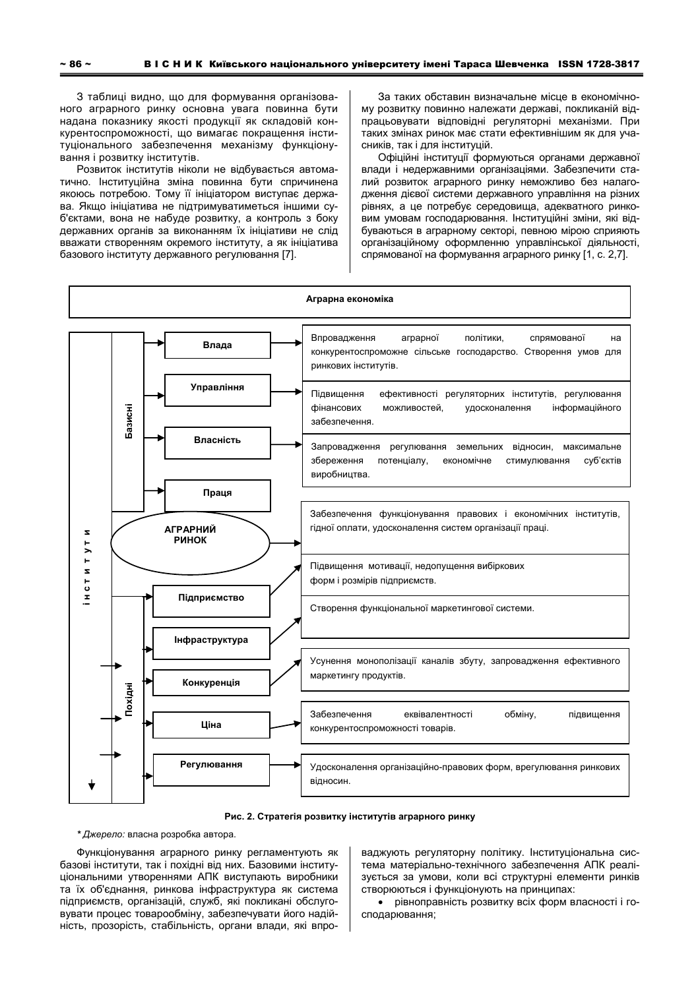3 таблиці видно, що для формування організованого аграрного ринку основна увага повинна бути надана показнику якості продукції як складовій конкурентоспроможності, що вимагає покращення інститүціонального забезпечення механізму функціонування і розвитку інститутів.

Розвиток інститутів ніколи не відбувається автоматично. Інституційна зміна повинна бути спричинена якоюсь потребою. Тому її ініціатором виступає держава. Якщо ініціатива не підтримуватиметься іншими суб'єктами, вона не набуде розвитку, а контроль з боку державних органів за виконанням їх ініціативи не слід вважати створенням окремого інституту, а як ініціатива базового інституту державного регулювання [7].

За таких обставин визначальне місце в економічному розвитку повинно належати державі, покликаній відпрацьовувати відповідні регуляторні механізми. При таких змінах ринок має стати ефективнішим як для учасників, так і для інституцій.

Офіційні інституції формуються органами державної влади і недержавними організаціями. Забезпечити сталий розвиток аграрного ринку неможливо без налагодження дієвої системи державного управління на різних рівнях, а це потребує середовища, адекватного ринковим умовам господарювання. Інституційні зміни, які відбуваються в аграрному секторі, певною мірою сприяють організаційному оформленню управлінської діяльності, cпрямованої на формування аграрного ринку [1, с. 2,7].





**\*** Джерело: власна розробка автора.

Функціонування аграрного ринку регламентують як базові інститути, так і похідні від них. Базовими інституціональними утвореннями АПК виступають виробники та їх об'єднання, ринкова інфраструктура як система підприємств, організацій, служб, які покликані обслуговувати процес товарообміну, забезпечувати його надійність, прозорість, стабільність, органи влади, які впроваджують регуляторну політику. Інституціональна система матеріально-технічного забезпечення АПК реалізується за умови, коли всі структурні елементи ринків створюються і функціонують на принципах:

• рівноправність розвитку всіх форм власності і господарювання;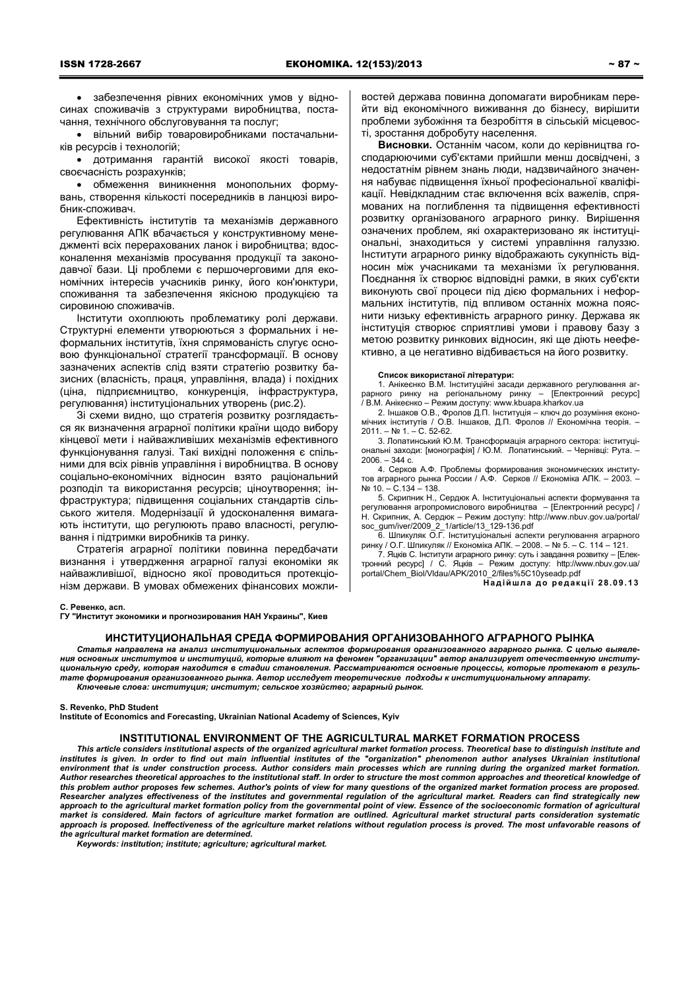• забезпечення рівних економічних умов у відносинах споживачів з структурами виробництва, постачання, технічного обслуговування та послуг;

• вільний вибір товаровиробниками постачальників ресурсів і технологій;

• дотримання гарантій високої якості товарів, своєчасність розрахунків;

• обмеження виникнення монопольних формувань, створення кількості посередників в ланцюзі виробник-споживач

Ефективність інститутів та механізмів державного регулювання АПК вбачається у конструктивному менеджменті всіх перерахованих ланок і виробництва; вдосконалення механізмів просування продукції та законодавчої бази. Ці проблеми є першочерговими для економічних інтересів учасників ринку, його кон'юнктури, споживання та забезпечення якісною продукцією та сировиною споживачів.

Інститути охоплюють проблематику ролі держави. Структурні елементи утворюються з формальних і неформальних інститутів, їхня спрямованість слугує основою функціональної стратегії трансформації. В основу зазначених аспектів слід взяти стратегію розвитку базисних (власність, праця, управління, влада) і похідних (ціна, підприємництво, конкуренція, інфраструктура, регулювання) інституціональних утворень (рис.2).

Зі схеми видно, що стратегія розвитку розглядається як визначення аграрної політики країни щодо вибору кінцевої мети і найважливіших механізмів ефективного функціонування галузі. Такі вихідні положення є спільними для всіх рівнів управління і виробництва. В основу соціально-економічних відносин взято раціональний розподіл та використання ресурсів; ціноутворення; інфраструктура; підвищення соціальних стандартів сільського жителя. Модернізації й удосконалення вимагають інститути, що регулюють право власності, регулювання і підтримки виробників та ринку.

Стратегія аграрної політики повинна передбачати визнання і утвердження аграрної галузі економіки як найважливішої, відносно якої проводиться протекціонізм держави. В умовах обмежених фінансових можли-

**С. Ревенко, асп.** 

 $\Gamma$ У "Институт экономики и прогнозирования НАН Украины", Киев

востей держава повинна допомагати виробникам перейти від економічного виживання до бізнесу, вирішити проблеми зубожіння та безробіття в сільській місцевості, зростання добробуту населення.

Висновки. Останнім часом, коли до керівництва господарюючими суб'єктами прийшли менш досвідчені, з недостатнім рівнем знань люди, надзвичайного значення набуває підвищення їхньої професіональної кваліфікації. Невідкладним стає включення всіх важелів, спрямованих на поглиблення та підвищення ефективності розвитку організованого аграрного ринку. Вирішення означених проблем, які охарактеризовано як інституціональні, знаходиться у системі управління галуззю. Н Е иститути аграрного ринку відображають сукупність відносин між учасниками та механізми їх регулювання. Поєднання їх створює відповідні рамки, в яких суб'єкти виконують свої процеси під дією формальних і неформальних інститутів, під впливом останніх можна пояснити низьку ефективність аграрного ринку. Держава як інституція створює сприятливі умови і правову базу з метою розвитку ринкових відносин, які ще діють неефективно, а це негативно відбивається на його розвитку.

### Список використаної літератури:

1. Анікеєнко В.М. Інституційні засади державного регулювання аграрного ринку на регіональному ринку – [Електронний ресурс] / ȼ.Ɇ. Ⱥɧɿɤɟɽɧɤɨ – Ɋɟɠɢɦ ɞɨɫɬɭɩɭ: www.kbuapa.kharkov.ua

2. Іншаков О.В., Фролов Д.П. Інституція – ключ до розуміння економічних інститутів / О.В. Іншаков, Д.П. Фролов // Економічна теорія. - $2011. - Ne 1. - C. 52-62.$ 

3. Ʌɨɩɚɬɢɧɫɶɤɢɣ ɘ.Ɇ. Ɍɪɚɧɫɮɨɪɦɚɰɿɹ ɚɝɪɚɪɧɨɝɨ ɫɟɤɬɨɪɚ: ɿɧɫɬɢɬɭɰɿональні заходи: [монографія] / Ю.М. Лопатинський. – Чернівці: Рута. –  $2006. - 344 c.$ 

4. Серков А.Ф. Проблемы формирования экономических институтов аграрного рынка России / А.Ф. Серков // Економіка АПК. - 2003. - $N = 10. - C.134 - 138.$ 

5. Скрипник Н., Сердюк А. Інституціональні аспекти формування та регулювання агропромислового виробництва - [Електронний ресурс] / Н. Скрипник, А. Сердюк – Режим доступу: http://www.nbuv.gov.ua/portal/ soc\_gum/iver/2009\_2\_1/article/13\_129-136.pdf

6. Шпикуляк О.Г. Інституціональні аспекти регулювання аграрного ринку / О.Г. Шпикуляк // Економіка АПК. – 2008. – № 5. – С. 114 – 121.

7. Яцків С. Інститути аграрного ринку: суть і завдання розвитку – ГЕлектронний ресурс] / С. Яцків – Режим доступу: http://www.nbuv.gov.ua/ portal/Chem\_Biol/Vldau/APK/2010\_2/files%5C10yseadp.pdf

Надійшла до редакції 28.09.13

## ИНСТИТУЦИОНАЛЬНАЯ СРЕДА ФОРМИРОВАНИЯ ОРГАНИЗОВАННОГО АГРАРНОГО РЫНКА

Статья направлена на анализ институциональных аспектов формирования организованного аграрного рынка. С целью выявления основных институтов и институций, которые влияют на феномен "организации" автор анализирует отечественную институциональную среду, которая находится в стадии становления. Рассматриваются основные процессы, которые протекают в результате формирования организованного рынка. Автор исследует теоретические подходы к институциональному аппарату. *Ʉɥɸɱɟɜɵɟ ɫɥɨɜɚ: ɢɧɫɬɢɬɭɰɢɹ; ɢɧɫɬɢɬɭɬ; ɫɟɥɶɫɤɨɟ ɯɨɡɹɣɫɬɜɨ; ɚɝɪɚɪɧɵɣ ɪɵɧɨɤ.* 

**S. Revenko, PhD Student** 

**Institute of Economics and Forecasting, Ukrainian National Academy of Sciences, Kyiv** 

# **INSTITUTIONAL ENVIRONMENT OF THE AGRICULTURAL MARKET FORMATION PROCESS**

*This article considers institutional aspects of the organized agricultural market formation process. Theoretical base to distinguish institute and institutes is given. In order to find out main influential institutes of the "organization" phenomenon author analyses Ukrainian institutional environment that is under construction process. Author considers main processes which are running during the organized market formation. Author researches theoretical approaches to the institutional staff. In order to structure the most common approaches and theoretical knowledge of this problem author proposes few schemes. Author's points of view for many questions of the organized market formation process are proposed. Researcher analyzes effectiveness of the institutes and governmental regulation of the agricultural market. Readers can find strategically new approach to the agricultural market formation policy from the governmental point of view. Essence of the socioeconomic formation of agricultural market is considered. Main factors of agriculture market formation are outlined. Agricultural market structural parts consideration systematic*  approach is proposed. Ineffectiveness of the agriculture market relations without regulation process is proved. The most unfavorable reasons of *the agricultural market formation are determined.* 

*Keywords: institution; institute; agriculture; agricultural market.*